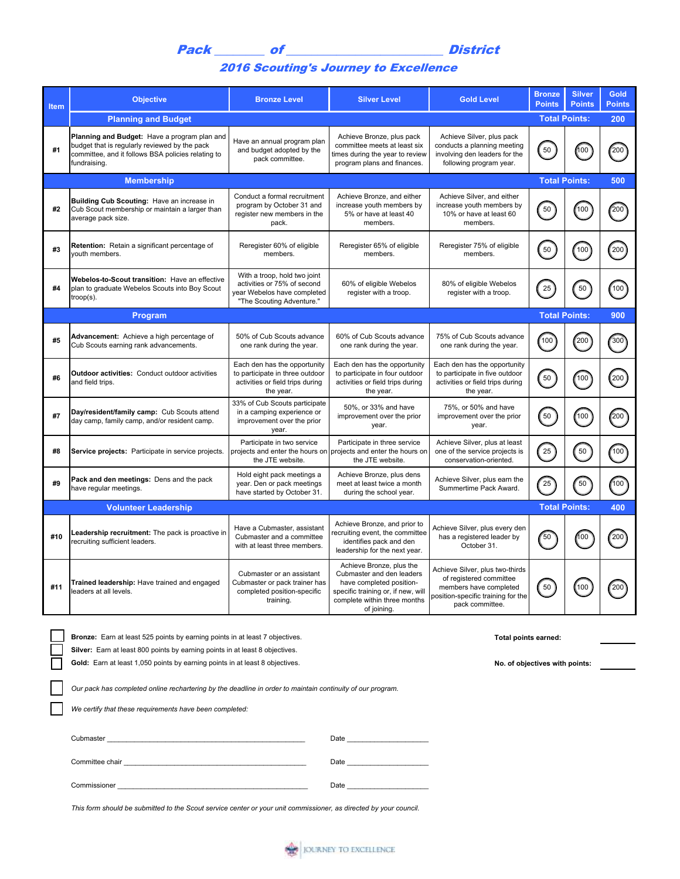## 2016 Scouting's Journey to Excellence

| <b>Item</b> | <b>Objective</b>                                                                                                                                                                                                               | <b>Bronze Level</b>                                                                                                     | <b>Silver Level</b>                                                                                                                                                                                                            | <b>Gold Level</b>                                                                                                                             | <b>Bronze</b><br><b>Points</b> | <b>Silver</b><br><b>Points</b> | <b>Gold</b><br><b>Points</b> |  |
|-------------|--------------------------------------------------------------------------------------------------------------------------------------------------------------------------------------------------------------------------------|-------------------------------------------------------------------------------------------------------------------------|--------------------------------------------------------------------------------------------------------------------------------------------------------------------------------------------------------------------------------|-----------------------------------------------------------------------------------------------------------------------------------------------|--------------------------------|--------------------------------|------------------------------|--|
|             | <b>Planning and Budget</b>                                                                                                                                                                                                     |                                                                                                                         |                                                                                                                                                                                                                                |                                                                                                                                               |                                | <b>Total Points:</b>           | 200                          |  |
| #1          | Planning and Budget: Have a program plan and<br>budget that is regularly reviewed by the pack<br>committee, and it follows BSA policies relating to<br>fundraising.                                                            | Have an annual program plan<br>and budget adopted by the<br>pack committee.                                             | Achieve Bronze, plus pack<br>committee meets at least six<br>times during the year to review<br>program plans and finances.                                                                                                    | Achieve Silver, plus pack<br>conducts a planning meeting<br>involving den leaders for the<br>following program year.                          | 50                             | 100                            | 200                          |  |
|             | <b>Membership</b>                                                                                                                                                                                                              |                                                                                                                         |                                                                                                                                                                                                                                |                                                                                                                                               |                                | <b>Total Points:</b>           | 500                          |  |
| #2          | Building Cub Scouting: Have an increase in<br>Cub Scout membership or maintain a larger than<br>average pack size.                                                                                                             | Conduct a formal recruitment<br>program by October 31 and<br>register new members in the<br>pack.                       | Achieve Bronze, and either<br>increase youth members by<br>5% or have at least 40<br>members.                                                                                                                                  | Achieve Silver, and either<br>increase youth members by<br>10% or have at least 60<br>members.                                                | 50                             | 100                            | 200                          |  |
| #3          | Retention: Retain a significant percentage of<br>youth members.                                                                                                                                                                | Reregister 60% of eligible<br>members.                                                                                  | Reregister 65% of eligible<br>members.                                                                                                                                                                                         | Reregister 75% of eligible<br>members.                                                                                                        | 50                             | 100                            | 200                          |  |
| #4          | Webelos-to-Scout transition: Have an effective<br>plan to graduate Webelos Scouts into Boy Scout<br>$trop(s)$ .                                                                                                                | With a troop, hold two joint<br>activities or 75% of second<br>year Webelos have completed<br>"The Scouting Adventure." | 60% of eligible Webelos<br>register with a troop.                                                                                                                                                                              | 80% of eligible Webelos<br>register with a troop.                                                                                             | 25                             | 50                             | 100                          |  |
|             | Program                                                                                                                                                                                                                        |                                                                                                                         |                                                                                                                                                                                                                                |                                                                                                                                               | <b>Total Points:</b>           |                                | 900                          |  |
| #5          | Advancement: Achieve a high percentage of<br>Cub Scouts earning rank advancements.                                                                                                                                             | 50% of Cub Scouts advance<br>one rank during the year.                                                                  | 60% of Cub Scouts advance<br>one rank during the year.                                                                                                                                                                         | 75% of Cub Scouts advance<br>one rank during the year.                                                                                        | (100)                          | 200                            | 300                          |  |
| #6          | <b>Outdoor activities:</b> Conduct outdoor activities<br>and field trips.                                                                                                                                                      | Each den has the opportunity<br>to participate in three outdoor<br>activities or field trips during<br>the year.        | Each den has the opportunity<br>to participate in four outdoor<br>activities or field trips during<br>the year.                                                                                                                | Each den has the opportunity<br>to participate in five outdoor<br>activities or field trips during<br>the year.                               | 50                             | (100)                          | 200                          |  |
| #7          | Day/resident/family camp: Cub Scouts attend<br>day camp, family camp, and/or resident camp.                                                                                                                                    | 33% of Cub Scouts participate<br>in a camping experience or<br>improvement over the prior<br>year.                      | 50%, or 33% and have<br>improvement over the prior<br>year.                                                                                                                                                                    | 75%, or 50% and have<br>improvement over the prior<br>year.                                                                                   | 50                             | (100)                          | 200                          |  |
| #8          | Service projects: Participate in service projects.                                                                                                                                                                             | Participate in two service<br>projects and enter the hours on<br>the JTE website.                                       | Participate in three service<br>projects and enter the hours on<br>the JTE website.                                                                                                                                            | Achieve Silver, plus at least<br>one of the service projects is<br>conservation-oriented.                                                     | 25                             | 50                             | $100^{\circ}$                |  |
| #9          | Pack and den meetings: Dens and the pack<br>have regular meetings.                                                                                                                                                             | Hold eight pack meetings a<br>year. Den or pack meetings<br>have started by October 31.                                 | Achieve Bronze, plus dens<br>meet at least twice a month<br>during the school year.                                                                                                                                            | Achieve Silver, plus earn the<br>Summertime Pack Award.                                                                                       | 25                             | 50                             | 100                          |  |
|             | <b>Volunteer Leadership</b><br><b>Total Points:</b><br>400                                                                                                                                                                     |                                                                                                                         |                                                                                                                                                                                                                                |                                                                                                                                               |                                |                                |                              |  |
| #10         | Leadership recruitment: The pack is proactive in<br>recruiting sufficient leaders.                                                                                                                                             | Have a Cubmaster, assistant<br>Cubmaster and a committee<br>with at least three members.                                | Achieve Bronze, and prior to<br>recruiting event, the committee<br>identifies pack and den<br>leadership for the next year.                                                                                                    | Achieve Silver, plus every den<br>has a registered leader by<br>October 31.                                                                   | 50                             | 100                            | 200                          |  |
| #11         | Trained leadership: Have trained and engaged<br>leaders at all levels.                                                                                                                                                         | Cubmaster or an assistant<br>Cubmaster or pack trainer has<br>completed position-specific<br>training.                  | Achieve Bronze, plus the<br>Cubmaster and den leaders<br>have completed position-<br>specific training or, if new, will<br>complete within three months<br>of joining.                                                         | Achieve Silver, plus two-thirds<br>of registered committee<br>members have completed<br>position-specific training for the<br>pack committee. | 50                             | (100                           | (200                         |  |
|             |                                                                                                                                                                                                                                |                                                                                                                         |                                                                                                                                                                                                                                |                                                                                                                                               |                                |                                |                              |  |
|             | Bronze: Earn at least 525 points by earning points in at least 7 objectives.                                                                                                                                                   | Total points earned:                                                                                                    |                                                                                                                                                                                                                                |                                                                                                                                               |                                |                                |                              |  |
|             | Silver: Earn at least 800 points by earning points in at least 8 objectives.<br>Gold: Earn at least 1,050 points by earning points in at least 8 objectives.<br>No. of objectives with points:                                 |                                                                                                                         |                                                                                                                                                                                                                                |                                                                                                                                               |                                |                                |                              |  |
|             |                                                                                                                                                                                                                                |                                                                                                                         |                                                                                                                                                                                                                                |                                                                                                                                               |                                |                                |                              |  |
|             | Our pack has completed online rechartering by the deadline in order to maintain continuity of our program.                                                                                                                     |                                                                                                                         |                                                                                                                                                                                                                                |                                                                                                                                               |                                |                                |                              |  |
|             | We certify that these requirements have been completed:                                                                                                                                                                        |                                                                                                                         |                                                                                                                                                                                                                                |                                                                                                                                               |                                |                                |                              |  |
|             |                                                                                                                                                                                                                                |                                                                                                                         |                                                                                                                                                                                                                                |                                                                                                                                               |                                |                                |                              |  |
|             | Committee chair and the committee of the committee of the committee of the committee of the committee of the committee of the committee of the committee of the committee of the committee of the committee of the committee o |                                                                                                                         | Date and the state of the state of the state of the state of the state of the state of the state of the state of the state of the state of the state of the state of the state of the state of the state of the state of the s |                                                                                                                                               |                                |                                |                              |  |
|             |                                                                                                                                                                                                                                |                                                                                                                         | Date and the state of the state of the state of the state of the state of the state of the state of the state of the state of the state of the state of the state of the state of the state of the state of the state of the s |                                                                                                                                               |                                |                                |                              |  |
|             | This form should be submitted to the Scout service center or your unit commissioner, as directed by your council.                                                                                                              |                                                                                                                         |                                                                                                                                                                                                                                |                                                                                                                                               |                                |                                |                              |  |